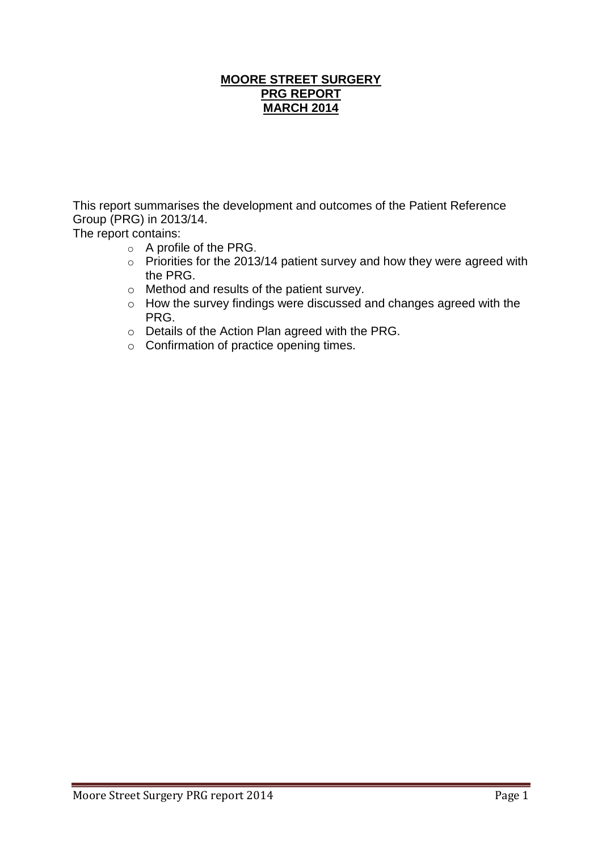## **MOORE STREET SURGERY PRG REPORT MARCH 2014**

This report summarises the development and outcomes of the Patient Reference Group (PRG) in 2013/14.

The report contains:

- o A profile of the PRG.
- $\circ$  Priorities for the 2013/14 patient survey and how they were agreed with the PRG.
- o Method and results of the patient survey.
- o How the survey findings were discussed and changes agreed with the PRG.
- o Details of the Action Plan agreed with the PRG.
- o Confirmation of practice opening times.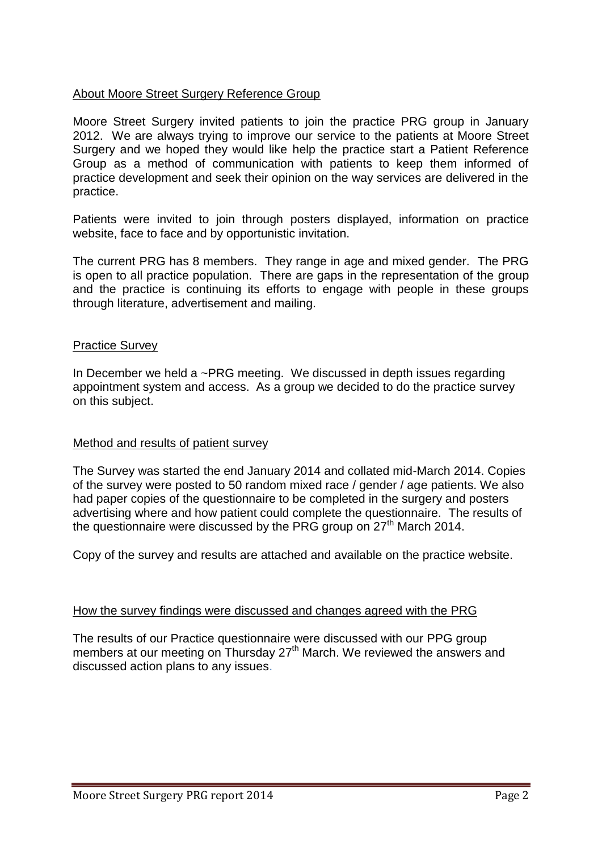## About Moore Street Surgery Reference Group

Moore Street Surgery invited patients to join the practice PRG group in January 2012. We are always trying to improve our service to the patients at Moore Street Surgery and we hoped they would like help the practice start a Patient Reference Group as a method of communication with patients to keep them informed of practice development and seek their opinion on the way services are delivered in the practice.

Patients were invited to join through posters displayed, information on practice website, face to face and by opportunistic invitation.

The current PRG has 8 members. They range in age and mixed gender. The PRG is open to all practice population. There are gaps in the representation of the group and the practice is continuing its efforts to engage with people in these groups through literature, advertisement and mailing.

#### Practice Survey

In December we held a ~PRG meeting. We discussed in depth issues regarding appointment system and access. As a group we decided to do the practice survey on this subject.

### Method and results of patient survey

The Survey was started the end January 2014 and collated mid-March 2014. Copies of the survey were posted to 50 random mixed race / gender / age patients. We also had paper copies of the questionnaire to be completed in the surgery and posters advertising where and how patient could complete the questionnaire. The results of the questionnaire were discussed by the PRG group on  $27<sup>th</sup>$  March 2014.

Copy of the survey and results are attached and available on the practice website.

#### How the survey findings were discussed and changes agreed with the PRG

The results of our Practice questionnaire were discussed with our PPG group members at our meeting on Thursday 27<sup>th</sup> March. We reviewed the answers and discussed action plans to any issues.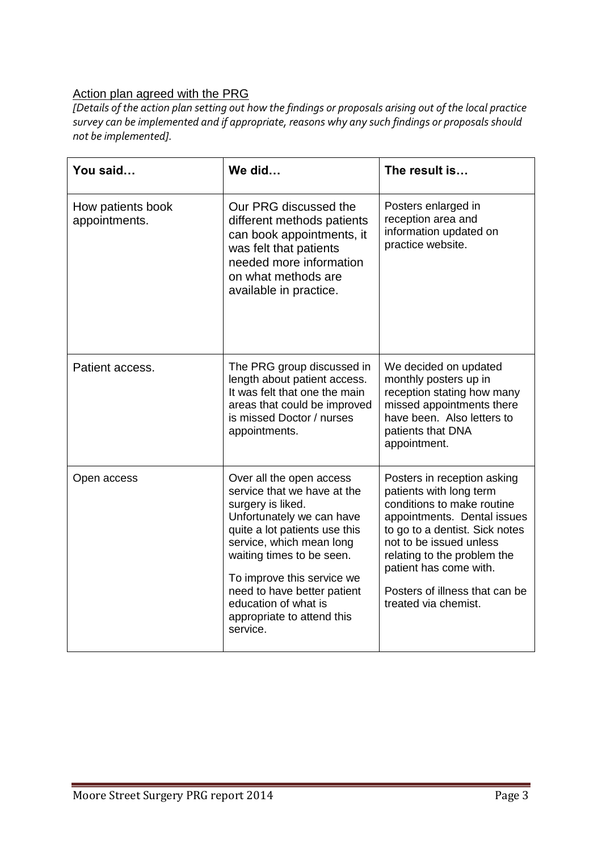# Action plan agreed with the PRG

*[Details of the action plan setting out how the findings or proposals arising out of the local practice survey can be implemented and if appropriate, reasons why any such findings or proposals should not be implemented].*

| You said                           | We did                                                                                                                                                                                                                                                                                                                             | The result is                                                                                                                                                                                                                                                                                       |
|------------------------------------|------------------------------------------------------------------------------------------------------------------------------------------------------------------------------------------------------------------------------------------------------------------------------------------------------------------------------------|-----------------------------------------------------------------------------------------------------------------------------------------------------------------------------------------------------------------------------------------------------------------------------------------------------|
| How patients book<br>appointments. | Our PRG discussed the<br>different methods patients<br>can book appointments, it<br>was felt that patients<br>needed more information<br>on what methods are<br>available in practice.                                                                                                                                             | Posters enlarged in<br>reception area and<br>information updated on<br>practice website.                                                                                                                                                                                                            |
| Patient access.                    | The PRG group discussed in<br>length about patient access.<br>It was felt that one the main<br>areas that could be improved<br>is missed Doctor / nurses<br>appointments.                                                                                                                                                          | We decided on updated<br>monthly posters up in<br>reception stating how many<br>missed appointments there<br>have been. Also letters to<br>patients that DNA<br>appointment.                                                                                                                        |
| Open access                        | Over all the open access<br>service that we have at the<br>surgery is liked.<br>Unfortunately we can have<br>quite a lot patients use this<br>service, which mean long<br>waiting times to be seen.<br>To improve this service we<br>need to have better patient<br>education of what is<br>appropriate to attend this<br>service. | Posters in reception asking<br>patients with long term<br>conditions to make routine<br>appointments. Dental issues<br>to go to a dentist. Sick notes<br>not to be issued unless<br>relating to the problem the<br>patient has come with.<br>Posters of illness that can be<br>treated via chemist. |